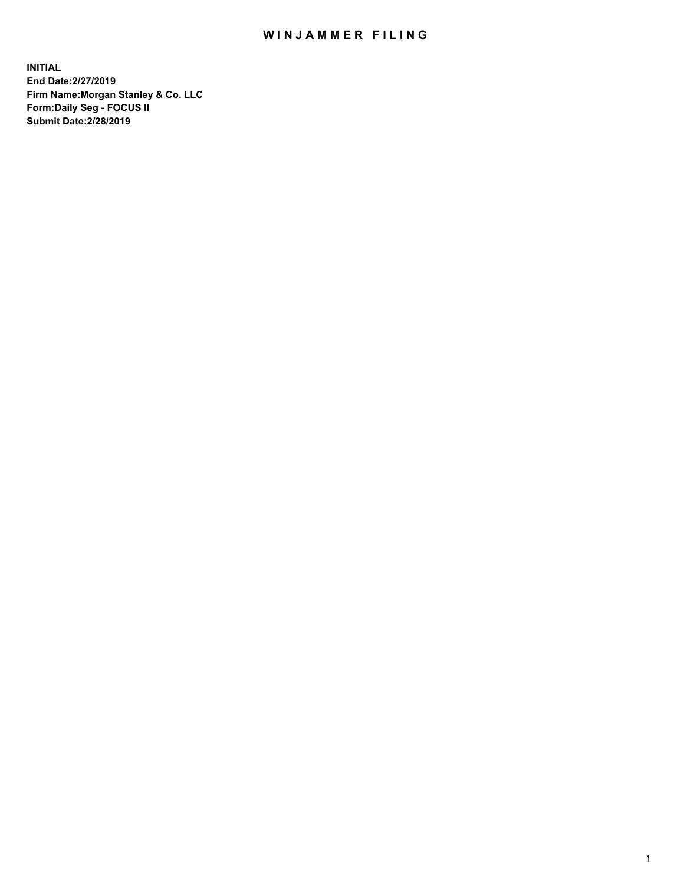## WIN JAMMER FILING

**INITIAL End Date:2/27/2019 Firm Name:Morgan Stanley & Co. LLC Form:Daily Seg - FOCUS II Submit Date:2/28/2019**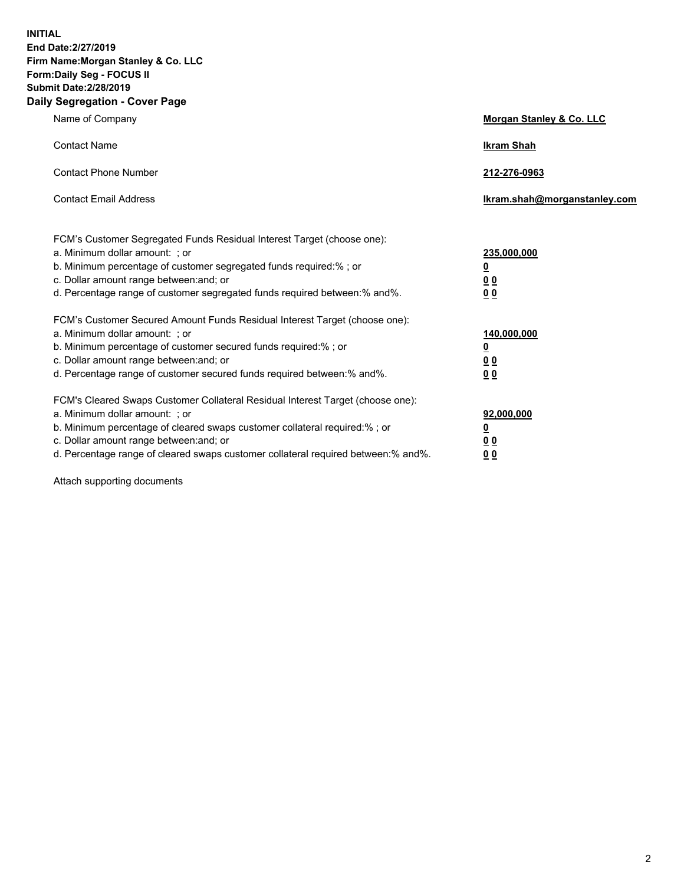**INITIAL End Date:2/27/2019 Firm Name:Morgan Stanley & Co. LLC Form:Daily Seg - FOCUS II Submit Date:2/28/2019 Daily Segregation - Cover Page**

| Name of Company                                                                                                                                                                                                                                                                                                                | Morgan Stanley & Co. LLC                               |
|--------------------------------------------------------------------------------------------------------------------------------------------------------------------------------------------------------------------------------------------------------------------------------------------------------------------------------|--------------------------------------------------------|
| <b>Contact Name</b>                                                                                                                                                                                                                                                                                                            | <b>Ikram Shah</b>                                      |
| <b>Contact Phone Number</b>                                                                                                                                                                                                                                                                                                    | 212-276-0963                                           |
| <b>Contact Email Address</b>                                                                                                                                                                                                                                                                                                   | Ikram.shah@morganstanley.com                           |
| FCM's Customer Segregated Funds Residual Interest Target (choose one):<br>a. Minimum dollar amount: ; or<br>b. Minimum percentage of customer segregated funds required:% ; or<br>c. Dollar amount range between: and; or<br>d. Percentage range of customer segregated funds required between:% and%.                         | 235,000,000<br><u>0</u><br>0 <sup>0</sup><br><u>00</u> |
| FCM's Customer Secured Amount Funds Residual Interest Target (choose one):<br>a. Minimum dollar amount: ; or<br>b. Minimum percentage of customer secured funds required:%; or<br>c. Dollar amount range between: and; or<br>d. Percentage range of customer secured funds required between:% and%.                            | 140,000,000<br><u>0</u><br><u>00</u><br>0 <sub>0</sub> |
| FCM's Cleared Swaps Customer Collateral Residual Interest Target (choose one):<br>a. Minimum dollar amount: ; or<br>b. Minimum percentage of cleared swaps customer collateral required:% ; or<br>c. Dollar amount range between: and; or<br>d. Percentage range of cleared swaps customer collateral required between:% and%. | 92,000,000<br><u>0</u><br><u>00</u><br>0 <sub>0</sub>  |

Attach supporting documents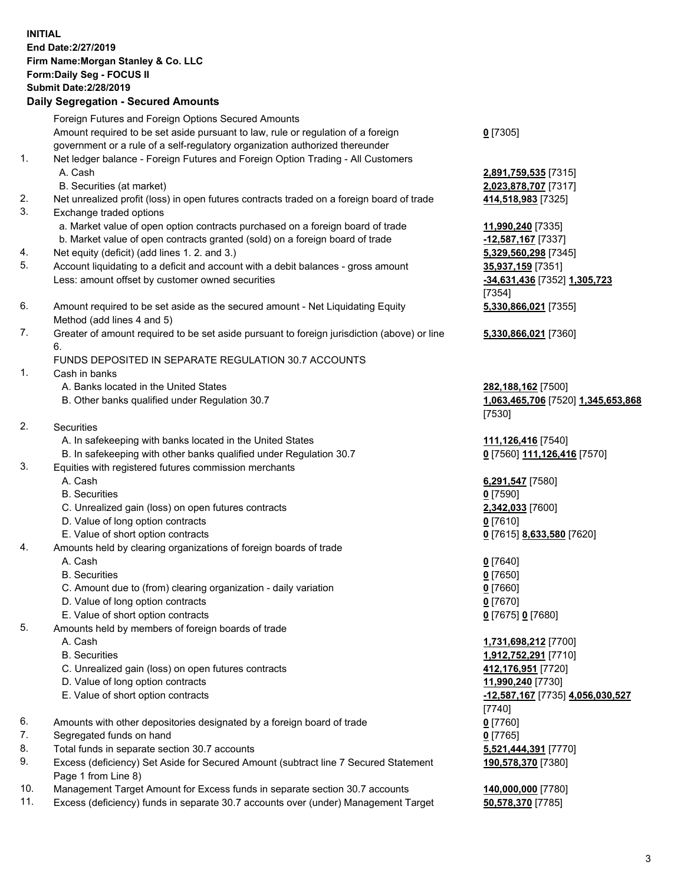## **INITIAL End Date:2/27/2019 Firm Name:Morgan Stanley & Co. LLC Form:Daily Seg - FOCUS II Submit Date:2/28/2019 Daily Segregation - Secured Amounts** Foreign Futures and Foreign Options Secured Amounts Amount required to be set aside pursuant to law, rule or regulation of a foreign government or a rule of a self-regulatory organization authorized thereunder 1. Net ledger balance - Foreign Futures and Foreign Option Trading - All Customers A. Cash **2,891,759,535** [7315] B. Securities (at market) **2,023,878,707** [7317] 2. Net unrealized profit (loss) in open futures contracts traded on a foreign board of trade **414,518,983** [7325] 3. Exchange traded options a. Market value of open option contracts purchased on a foreign board of trade **11,990,240** [7335] b. Market value of open contracts granted (sold) on a foreign board of trade **-12,587,167** [7337] 4. Net equity (deficit) (add lines 1. 2. and 3.) **5,329,560,298** [7345] 5. Account liquidating to a deficit and account with a debit balances - gross amount **35,937,159** [7351] Less: amount offset by customer owned securities **-34,631,436** [7352] **1,305,723** 6. Amount required to be set aside as the secured amount - Net Liquidating Equity Method (add lines 4 and 5) 7. Greater of amount required to be set aside pursuant to foreign jurisdiction (above) or line 6. FUNDS DEPOSITED IN SEPARATE REGULATION 30.7 ACCOUNTS 1. Cash in banks A. Banks located in the United States **282,188,162** [7500] B. Other banks qualified under Regulation 30.7 **1,063,465,706** [7520] **1,345,653,868** 2. Securities A. In safekeeping with banks located in the United States **111,126,416** [7540] B. In safekeeping with other banks qualified under Regulation 30.7 **0** [7560] **111,126,416** [7570] 3. Equities with registered futures commission merchants A. Cash **6,291,547** [7580] B. Securities **0** [7590]

- C. Unrealized gain (loss) on open futures contracts **2,342,033** [7600]
- D. Value of long option contracts **0** [7610]
- E. Value of short option contracts **0** [7615] **8,633,580** [7620]
- 4. Amounts held by clearing organizations of foreign boards of trade
	- A. Cash **0** [7640]
	- B. Securities **0** [7650]
	- C. Amount due to (from) clearing organization daily variation **0** [7660]
	- D. Value of long option contracts **0** [7670]
	- E. Value of short option contracts **0** [7675] **0** [7680]
- 5. Amounts held by members of foreign boards of trade
	-
	-
	- C. Unrealized gain (loss) on open futures contracts **412,176,951** [7720]
	- D. Value of long option contracts **11,990,240** [7730]
	- E. Value of short option contracts **-12,587,167** [7735] **4,056,030,527**
- 6. Amounts with other depositories designated by a foreign board of trade **0** [7760]
- 7. Segregated funds on hand **0** [7765]
- 8. Total funds in separate section 30.7 accounts **5,521,444,391** [7770]
- 9. Excess (deficiency) Set Aside for Secured Amount (subtract line 7 Secured Statement Page 1 from Line 8)
- 10. Management Target Amount for Excess funds in separate section 30.7 accounts **140,000,000** [7780]
- 11. Excess (deficiency) funds in separate 30.7 accounts over (under) Management Target **50,578,370** [7785]

**0** [7305]

[7354] **5,330,866,021** [7355]

**5,330,866,021** [7360]

[7530]

 A. Cash **1,731,698,212** [7700] B. Securities **1,912,752,291** [7710] [7740] **190,578,370** [7380]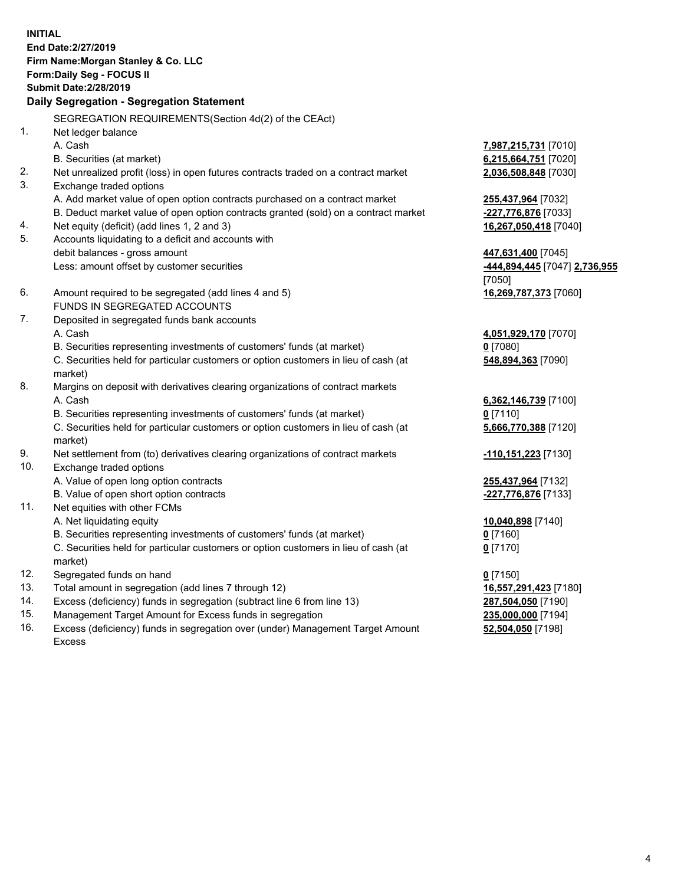**INITIAL End Date:2/27/2019 Firm Name:Morgan Stanley & Co. LLC Form:Daily Seg - FOCUS II Submit Date:2/28/2019 Daily Segregation - Segregation Statement** SEGREGATION REQUIREMENTS(Section 4d(2) of the CEAct) 1. Net ledger balance A. Cash **7,987,215,731** [7010] B. Securities (at market) **6,215,664,751** [7020] 2. Net unrealized profit (loss) in open futures contracts traded on a contract market **2,036,508,848** [7030] 3. Exchange traded options A. Add market value of open option contracts purchased on a contract market **255,437,964** [7032] B. Deduct market value of open option contracts granted (sold) on a contract market **-227,776,876** [7033] 4. Net equity (deficit) (add lines 1, 2 and 3) **16,267,050,418** [7040] 5. Accounts liquidating to a deficit and accounts with debit balances - gross amount **447,631,400** [7045] Less: amount offset by customer securities **-444,894,445** [7047] **2,736,955** [7050] 6. Amount required to be segregated (add lines 4 and 5) **16,269,787,373** [7060] FUNDS IN SEGREGATED ACCOUNTS 7. Deposited in segregated funds bank accounts A. Cash **4,051,929,170** [7070] B. Securities representing investments of customers' funds (at market) **0** [7080] C. Securities held for particular customers or option customers in lieu of cash (at market) **548,894,363** [7090] 8. Margins on deposit with derivatives clearing organizations of contract markets A. Cash **6,362,146,739** [7100] B. Securities representing investments of customers' funds (at market) **0** [7110] C. Securities held for particular customers or option customers in lieu of cash (at market) **5,666,770,388** [7120] 9. Net settlement from (to) derivatives clearing organizations of contract markets **-110,151,223** [7130] 10. Exchange traded options A. Value of open long option contracts **255,437,964** [7132] B. Value of open short option contracts **-227,776,876** [7133] 11. Net equities with other FCMs A. Net liquidating equity **10,040,898** [7140] B. Securities representing investments of customers' funds (at market) **0** [7160] C. Securities held for particular customers or option customers in lieu of cash (at market) **0** [7170] 12. Segregated funds on hand **0** [7150] 13. Total amount in segregation (add lines 7 through 12) **16,557,291,423** [7180] 14. Excess (deficiency) funds in segregation (subtract line 6 from line 13) **287,504,050** [7190]

- 15. Management Target Amount for Excess funds in segregation **235,000,000** [7194]
- 16. Excess (deficiency) funds in segregation over (under) Management Target Amount Excess

**52,504,050** [7198]